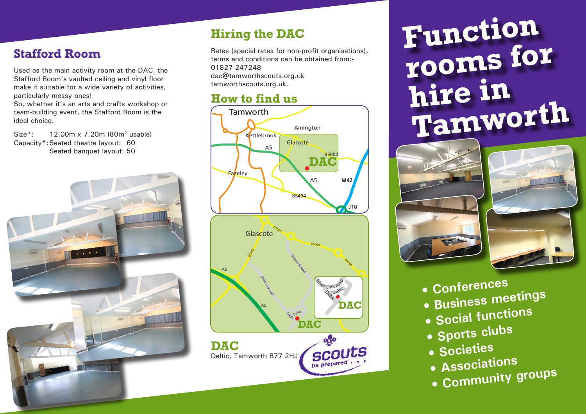## **Stafford Room**

Used as the main activity room at the DAC, the Stafford Room's vaulted ceiling and vinyl floor make it suitable for a wide variety of activities, particularly messy ones!

So, whether it's an arts and crafts workshop or team-building event, the Stafford Room is the ideal choice.

Size\*: 12.00m x 7.20m (80m2 usable) Capacity\*:Seated theatre layout: 60 Seated banquet layout: 50



# **Hiring the DAC**

Rates (special rates for non-profit organisations), terms and conditions can be obtained from:- 01827 247248 dac@tamworthscouts.org.uk tamworthscouts.org.uk.

## **How to find us**



# **Function rooms for hire in Tamworth**





- **Conferences**
- **Business meetings**
- **Social functions**
- **Sports clubs**
- **Societies**
- **Associations**
- **Community groups**